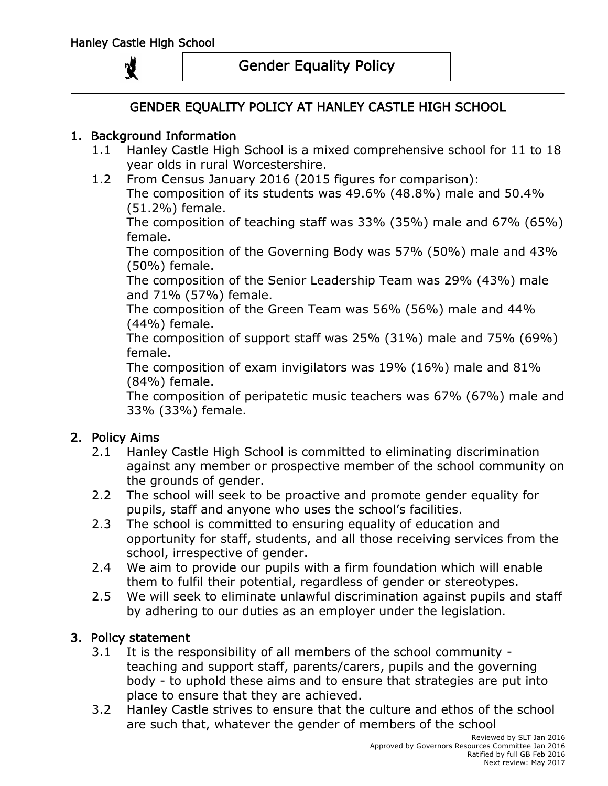# Gender Equality Policy

# GENDER EQUALITY POLICY AT HANLEY CASTLE HIGH SCHOOL

### 1. Background Information

- 1.1 Hanley Castle High School is a mixed comprehensive school for 11 to 18 year olds in rural Worcestershire.
- 1.2 From Census January 2016 (2015 figures for comparison): The composition of its students was 49.6% (48.8%) male and 50.4% (51.2%) female.

The composition of teaching staff was 33% (35%) male and 67% (65%) female.

The composition of the Governing Body was 57% (50%) male and 43% (50%) female.

The composition of the Senior Leadership Team was 29% (43%) male and 71% (57%) female.

The composition of the Green Team was 56% (56%) male and 44% (44%) female.

The composition of support staff was 25% (31%) male and 75% (69%) female.

The composition of exam invigilators was 19% (16%) male and 81% (84%) female.

The composition of peripatetic music teachers was 67% (67%) male and 33% (33%) female.

## 2. Policy Aims

- 2.1 Hanley Castle High School is committed to eliminating discrimination against any member or prospective member of the school community on the grounds of gender.
- 2.2 The school will seek to be proactive and promote gender equality for pupils, staff and anyone who uses the school's facilities.
- 2.3 The school is committed to ensuring equality of education and opportunity for staff, students, and all those receiving services from the school, irrespective of gender.
- 2.4 We aim to provide our pupils with a firm foundation which will enable them to fulfil their potential, regardless of gender or stereotypes.
- 2.5 We will seek to eliminate unlawful discrimination against pupils and staff by adhering to our duties as an employer under the legislation.

#### 3. Policy statement

- 3.1 It is the responsibility of all members of the school community teaching and support staff, parents/carers, pupils and the governing body - to uphold these aims and to ensure that strategies are put into place to ensure that they are achieved.
- 3.2 Hanley Castle strives to ensure that the culture and ethos of the school are such that, whatever the gender of members of the school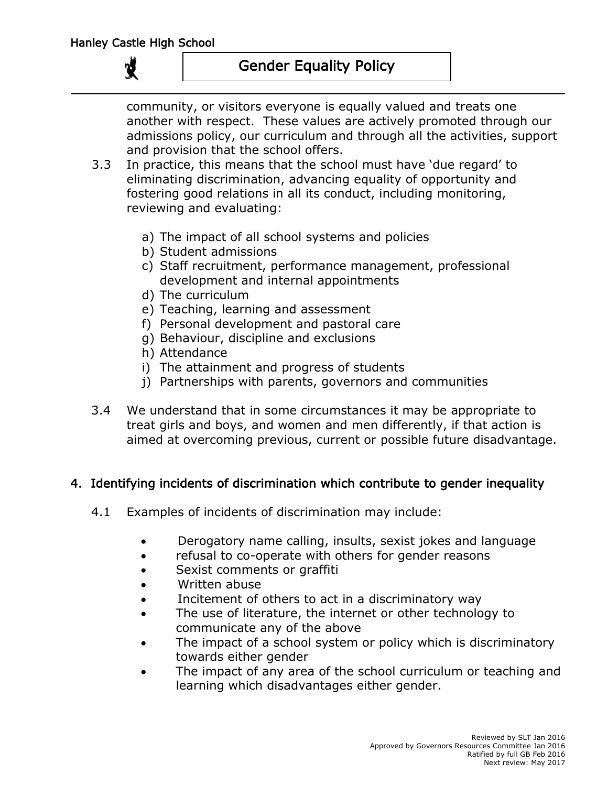# Gender Equality Policy

community, or visitors everyone is equally valued and treats one another with respect. These values are actively promoted through our admissions policy, our curriculum and through all the activities, support and provision that the school offers.

- 3.3 In practice, this means that the school must have 'due regard' to eliminating discrimination, advancing equality of opportunity and fostering good relations in all its conduct, including monitoring, reviewing and evaluating:
	- a) The impact of all school systems and policies
	- b) Student admissions
	- c) Staff recruitment, performance management, professional development and internal appointments
	- d) The curriculum
	- e) Teaching, learning and assessment
	- f) Personal development and pastoral care
	- g) Behaviour, discipline and exclusions
	- h) Attendance
	- i) The attainment and progress of students
	- j) Partnerships with parents, governors and communities
- 3.4 We understand that in some circumstances it may be appropriate to treat girls and boys, and women and men differently, if that action is aimed at overcoming previous, current or possible future disadvantage.

## 4. Identifying incidents of discrimination which contribute to gender inequality

- 4.1 Examples of incidents of discrimination may include:
	- Derogatory name calling, insults, sexist jokes and language
	- refusal to co-operate with others for gender reasons
	- Sexist comments or graffiti
	- Written abuse
	- Incitement of others to act in a discriminatory way
	- The use of literature, the internet or other technology to communicate any of the above
	- The impact of a school system or policy which is discriminatory towards either gender
	- The impact of any area of the school curriculum or teaching and learning which disadvantages either gender.